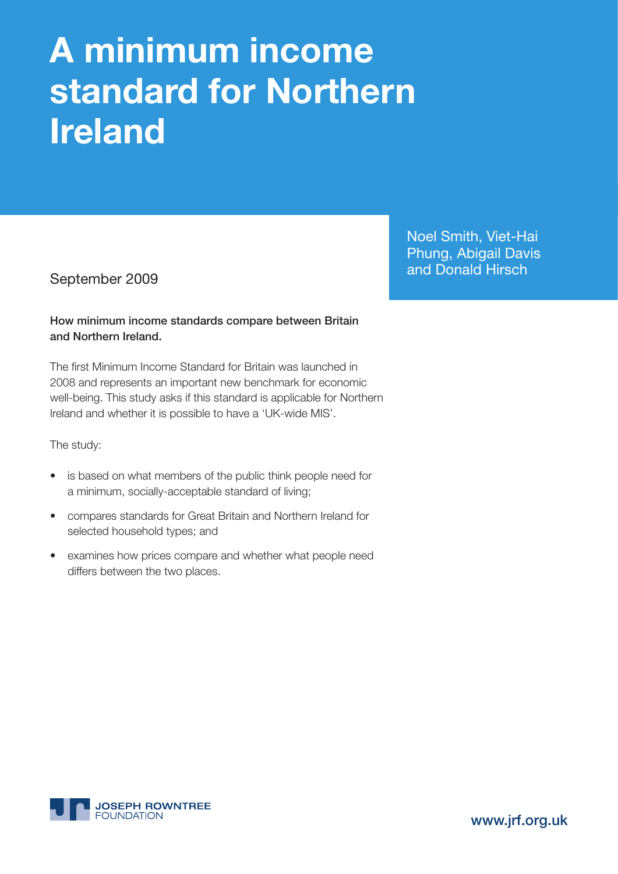# **A minimum income standard for Northern Ireland**

### How minimum income standards compare between Britain and Northern Ireland.

The first Minimum Income Standard for Britain was launched in 2008 and represents an important new benchmark for economic well-being. This study asks if this standard is applicable for Northern Ireland and whether it is possible to have a 'UK-wide MIS'.

The study:

- is based on what members of the public think people need for a minimum, socially-acceptable standard of living;
- compares standards for Great Britain and Northern Ireland for selected household types; and
- examines how prices compare and whether what people need differs between the two places.

Noel Smith, Viet-Hai Phung, Abigail Davis and Donald Hirsch September 2009



www.jrf.org.uk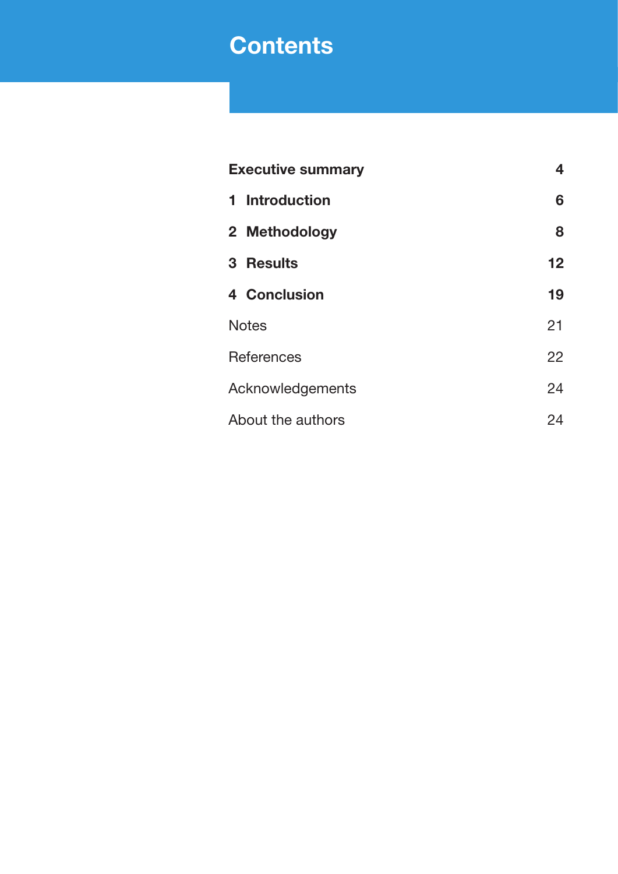### **Contents**

| <b>Executive summary</b> | 4  |
|--------------------------|----|
| 1 Introduction           | 6  |
| 2 Methodology            | 8  |
| 3 Results                | 12 |
| 4 Conclusion             | 19 |
| <b>Notes</b>             | 21 |
| References               | 22 |
| Acknowledgements         | 24 |
| About the authors        | 24 |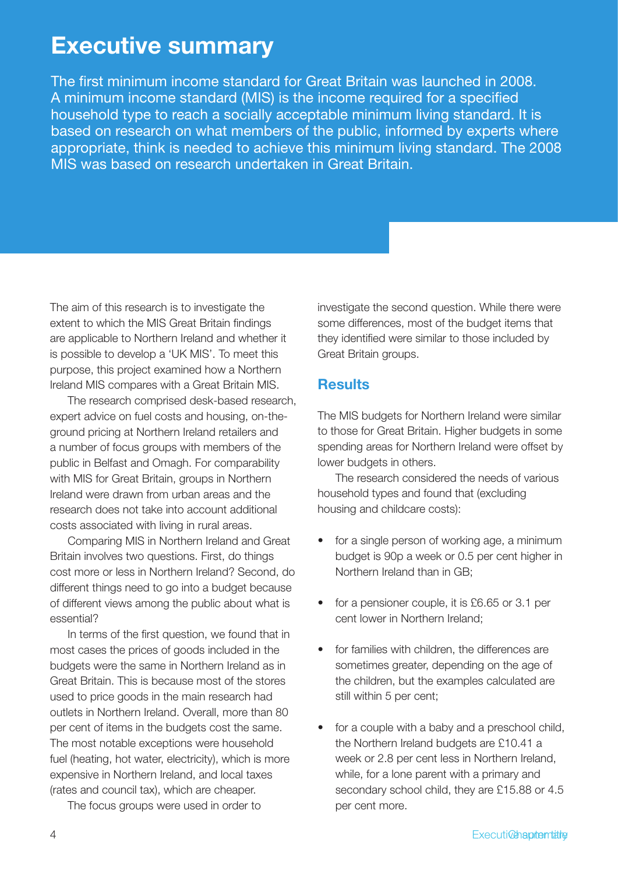**Executive summary**<br>
The first minimum income standard for Great Britain was faunded in 2006.<br>
An infimum income standard (MIS) is the income required for a specified<br>
An infimum income standard (MIS) is the income require The first minimum income standard for Great Britain was launched in 2008. A minimum income standard (MIS) is the income required for a specified household type to reach a socially acceptable minimum living standard. It is based on research on what members of the public, informed by experts where appropriate, think is needed to achieve this minimum living standard. The 2008 MIS was based on research undertaken in Great Britain.

The aim of this research is to investigate the extent to which the MIS Great Britain findings are applicable to Northern Ireland and whether it is possible to develop a 'UK MIS'. To meet this purpose, this project examined how a Northern Ireland MIS compares with a Great Britain MIS.

The research comprised desk-based research, expert advice on fuel costs and housing, on-theground pricing at Northern Ireland retailers and a number of focus groups with members of the public in Belfast and Omagh. For comparability with MIS for Great Britain, groups in Northern Ireland were drawn from urban areas and the research does not take into account additional costs associated with living in rural areas.

Comparing MIS in Northern Ireland and Great Britain involves two questions. First, do things cost more or less in Northern Ireland? Second, do different things need to go into a budget because of different views among the public about what is essential?

In terms of the first question, we found that in most cases the prices of goods included in the budgets were the same in Northern Ireland as in Great Britain. This is because most of the stores used to price goods in the main research had outlets in Northern Ireland. Overall, more than 80 per cent of items in the budgets cost the same. The most notable exceptions were household fuel (heating, hot water, electricity), which is more expensive in Northern Ireland, and local taxes (rates and council tax), which are cheaper.

The focus groups were used in order to

investigate the second question. While there were some differences, most of the budget items that they identified were similar to those included by Great Britain groups.

### **Results**

The MIS budgets for Northern Ireland were similar to those for Great Britain. Higher budgets in some spending areas for Northern Ireland were offset by lower budgets in others.

The research considered the needs of various household types and found that (excluding housing and childcare costs):

- for a single person of working age, a minimum budget is 90p a week or 0.5 per cent higher in Northern Ireland than in GB;
- for a pensioner couple, it is £6.65 or 3.1 per cent lower in Northern Ireland;
- for families with children, the differences are sometimes greater, depending on the age of the children, but the examples calculated are still within 5 per cent;
- for a couple with a baby and a preschool child, the Northern Ireland budgets are £10.41 a week or 2.8 per cent less in Northern Ireland, while, for a lone parent with a primary and secondary school child, they are £15.88 or 4.5 per cent more.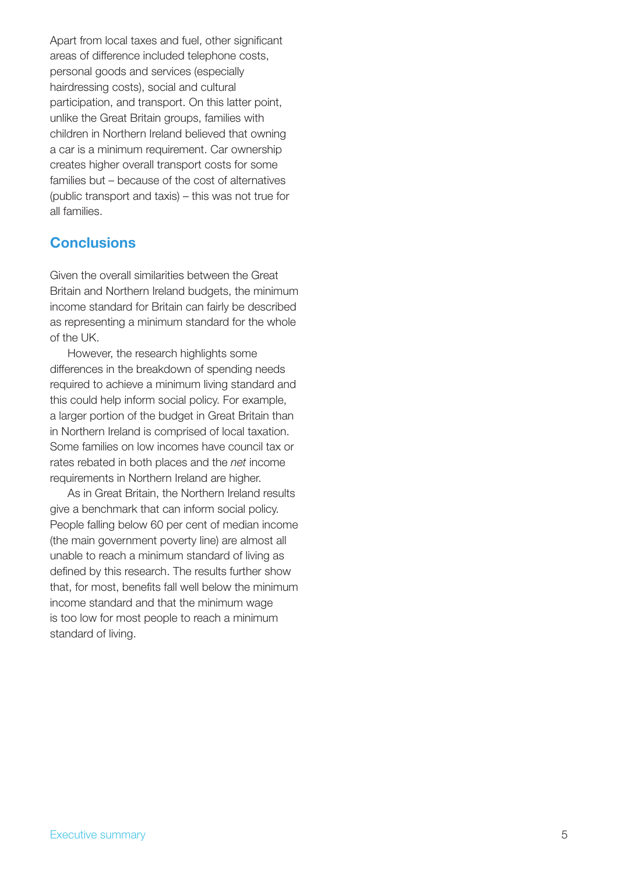Apart from local taxes and fuel, other significant areas of difference included telephone costs, personal goods and services (especially hairdressing costs), social and cultural participation, and transport. On this latter point, unlike the Great Britain groups, families with children in Northern Ireland believed that owning a car is a minimum requirement. Car ownership creates higher overall transport costs for some families but – because of the cost of alternatives (public transport and taxis) – this was not true for all families.

### **Conclusions**

Given the overall similarities between the Great Britain and Northern Ireland budgets, the minimum income standard for Britain can fairly be described as representing a minimum standard for the whole of the UK.

However, the research highlights some differences in the breakdown of spending needs required to achieve a minimum living standard and this could help inform social policy. For example, a larger portion of the budget in Great Britain than in Northern Ireland is comprised of local taxation. Some families on low incomes have council tax or rates rebated in both places and the *net* income requirements in Northern Ireland are higher.

As in Great Britain, the Northern Ireland results give a benchmark that can inform social policy. People falling below 60 per cent of median income (the main government poverty line) are almost all unable to reach a minimum standard of living as defined by this research. The results further show that, for most, benefits fall well below the minimum income standard and that the minimum wage is too low for most people to reach a minimum standard of living.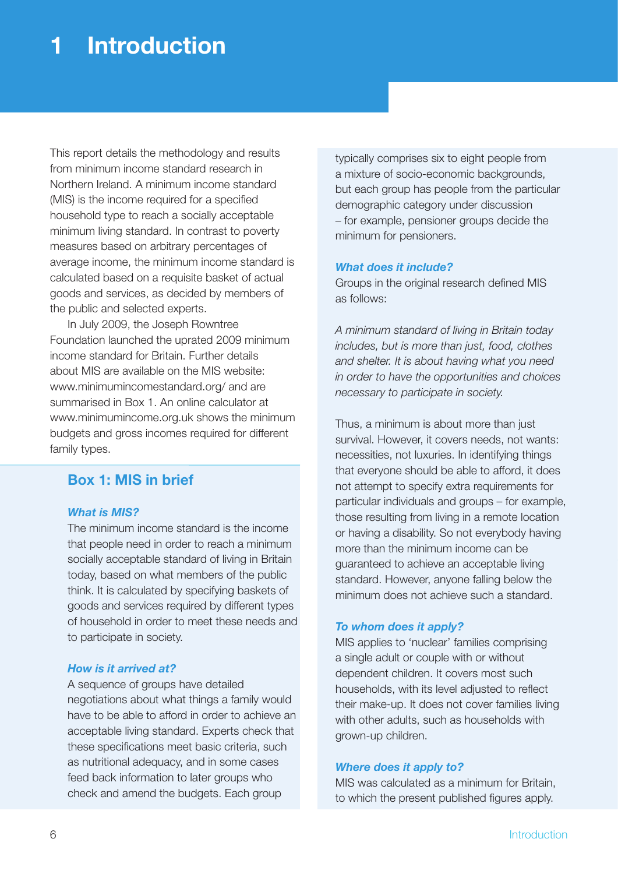### **1 Introduction**

This report details the methodology and results from minimum income standard research in Northern Ireland. A minimum income standard (MIS) is the income required for a specified household type to reach a socially acceptable minimum living standard. In contrast to poverty measures based on arbitrary percentages of average income, the minimum income standard is calculated based on a requisite basket of actual goods and services, as decided by members of the public and selected experts.

In July 2009, the Joseph Rowntree Foundation launched the uprated 2009 minimum income standard for Britain. Further details about MIS are available on the MIS website: www.minimumincomestandard.org/ and are summarised in Box 1. An online calculator at www.minimumincome.org.uk shows the minimum budgets and gross incomes required for different family types.

### **Box 1: MIS in brief**

#### *What is MIS?*

The minimum income standard is the income that people need in order to reach a minimum socially acceptable standard of living in Britain today, based on what members of the public think. It is calculated by specifying baskets of goods and services required by different types of household in order to meet these needs and to participate in society.

#### *How is it arrived at?*

A sequence of groups have detailed negotiations about what things a family would have to be able to afford in order to achieve an acceptable living standard. Experts check that these specifications meet basic criteria, such as nutritional adequacy, and in some cases feed back information to later groups who check and amend the budgets. Each group

typically comprises six to eight people from a mixture of socio-economic backgrounds, but each group has people from the particular demographic category under discussion – for example, pensioner groups decide the minimum for pensioners.

#### *What does it include?*

Groups in the original research defined MIS as follows:

*A minimum standard of living in Britain today includes, but is more than just, food, clothes and shelter. It is about having what you need in order to have the opportunities and choices necessary to participate in society.*

Thus, a minimum is about more than just survival. However, it covers needs, not wants: necessities, not luxuries. In identifying things that everyone should be able to afford, it does not attempt to specify extra requirements for particular individuals and groups – for example, those resulting from living in a remote location or having a disability. So not everybody having more than the minimum income can be guaranteed to achieve an acceptable living standard. However, anyone falling below the minimum does not achieve such a standard.

#### *To whom does it apply?*

MIS applies to 'nuclear' families comprising a single adult or couple with or without dependent children. It covers most such households, with its level adjusted to reflect their make-up. It does not cover families living with other adults, such as households with grown-up children.

#### *Where does it apply to?*

MIS was calculated as a minimum for Britain, to which the present published figures apply.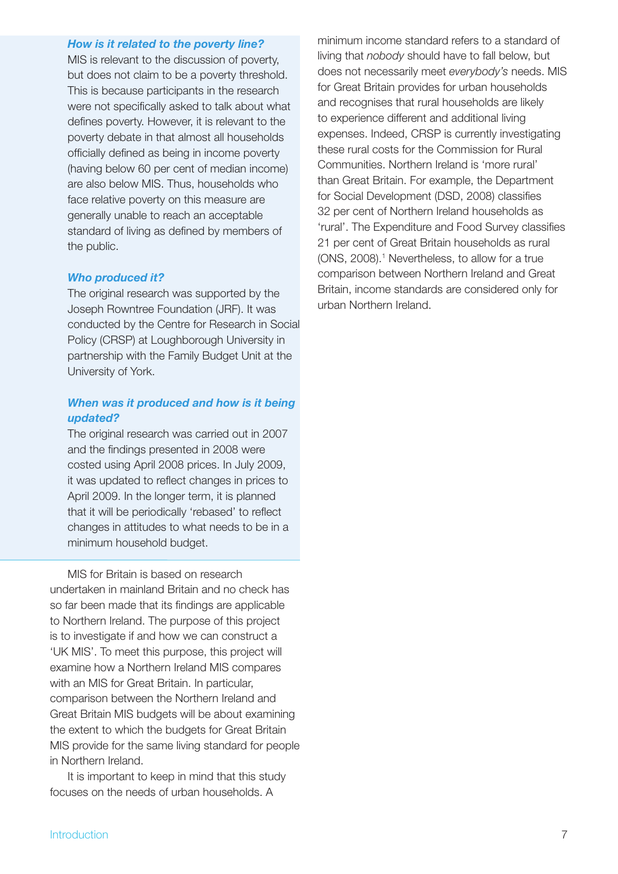#### *How is it related to the poverty line?*

MIS is relevant to the discussion of poverty, but does not claim to be a poverty threshold. This is because participants in the research were not specifically asked to talk about what defines poverty. However, it is relevant to the poverty debate in that almost all households officially defined as being in income poverty (having below 60 per cent of median income) are also below MIS. Thus, households who face relative poverty on this measure are generally unable to reach an acceptable standard of living as defined by members of the public.

#### *Who produced it?*

The original research was supported by the Joseph Rowntree Foundation (JRF). It was conducted by the Centre for Research in Social Policy (CRSP) at Loughborough University in partnership with the Family Budget Unit at the University of York.

#### *When was it produced and how is it being updated?*

The original research was carried out in 2007 and the findings presented in 2008 were costed using April 2008 prices. In July 2009, it was updated to reflect changes in prices to April 2009. In the longer term, it is planned that it will be periodically 'rebased' to reflect changes in attitudes to what needs to be in a minimum household budget.

MIS for Britain is based on research undertaken in mainland Britain and no check has so far been made that its findings are applicable to Northern Ireland. The purpose of this project is to investigate if and how we can construct a 'UK MIS'. To meet this purpose, this project will examine how a Northern Ireland MIS compares with an MIS for Great Britain. In particular, comparison between the Northern Ireland and Great Britain MIS budgets will be about examining the extent to which the budgets for Great Britain MIS provide for the same living standard for people in Northern Ireland.

It is important to keep in mind that this study focuses on the needs of urban households. A

minimum income standard refers to a standard of living that *nobody* should have to fall below, but does not necessarily meet *everybody's* needs. MIS for Great Britain provides for urban households and recognises that rural households are likely to experience different and additional living expenses. Indeed, CRSP is currently investigating these rural costs for the Commission for Rural Communities. Northern Ireland is 'more rural' than Great Britain. For example, the Department for Social Development (DSD, 2008) classifies 32 per cent of Northern Ireland households as 'rural'. The Expenditure and Food Survey classifies 21 per cent of Great Britain households as rural (ONS, 2008).<sup>1</sup> Nevertheless, to allow for a true comparison between Northern Ireland and Great Britain, income standards are considered only for urban Northern Ireland.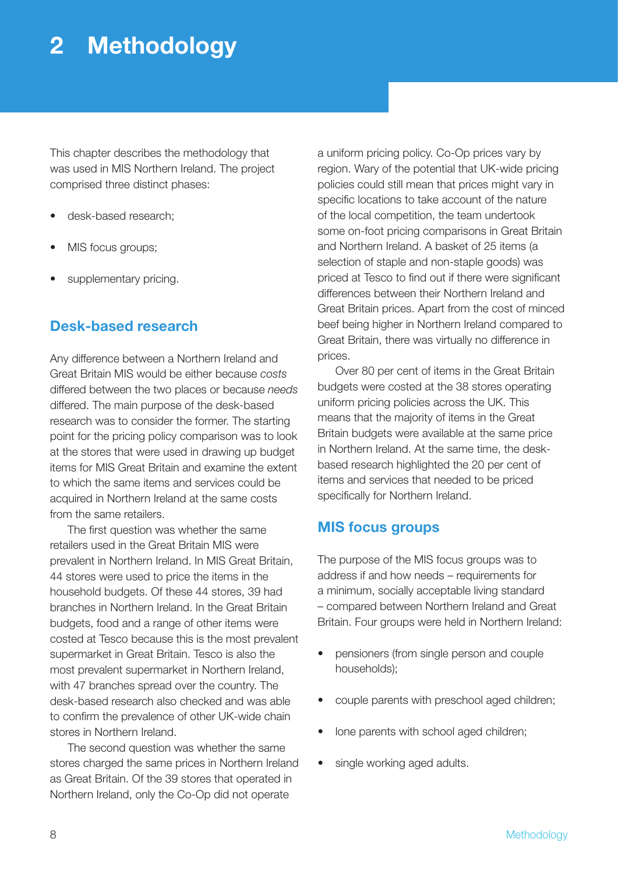### **2 Methodology**

This chapter describes the methodology that was used in MIS Northern Ireland. The project comprised three distinct phases:

- desk-based research;
- MIS focus groups;
- supplementary pricing.

### **Desk-based research**

Any difference between a Northern Ireland and Great Britain MIS would be either because *costs* differed between the two places or because *needs*  differed. The main purpose of the desk-based research was to consider the former. The starting point for the pricing policy comparison was to look at the stores that were used in drawing up budget items for MIS Great Britain and examine the extent to which the same items and services could be acquired in Northern Ireland at the same costs from the same retailers.

The first question was whether the same retailers used in the Great Britain MIS were prevalent in Northern Ireland. In MIS Great Britain, 44 stores were used to price the items in the household budgets. Of these 44 stores, 39 had branches in Northern Ireland. In the Great Britain budgets, food and a range of other items were costed at Tesco because this is the most prevalent supermarket in Great Britain. Tesco is also the most prevalent supermarket in Northern Ireland, with 47 branches spread over the country. The desk-based research also checked and was able to confirm the prevalence of other UK-wide chain stores in Northern Ireland.

The second question was whether the same stores charged the same prices in Northern Ireland as Great Britain. Of the 39 stores that operated in Northern Ireland, only the Co-Op did not operate

a uniform pricing policy. Co-Op prices vary by region. Wary of the potential that UK-wide pricing policies could still mean that prices might vary in specific locations to take account of the nature of the local competition, the team undertook some on-foot pricing comparisons in Great Britain and Northern Ireland. A basket of 25 items (a selection of staple and non-staple goods) was priced at Tesco to find out if there were significant differences between their Northern Ireland and Great Britain prices. Apart from the cost of minced beef being higher in Northern Ireland compared to Great Britain, there was virtually no difference in prices.

Over 80 per cent of items in the Great Britain budgets were costed at the 38 stores operating uniform pricing policies across the UK. This means that the majority of items in the Great Britain budgets were available at the same price in Northern Ireland. At the same time, the deskbased research highlighted the 20 per cent of items and services that needed to be priced specifically for Northern Ireland.

### **MIS focus groups**

The purpose of the MIS focus groups was to address if and how needs – requirements for a minimum, socially acceptable living standard – compared between Northern Ireland and Great Britain. Four groups were held in Northern Ireland:

- pensioners (from single person and couple households);
- couple parents with preschool aged children;
- lone parents with school aged children;
- single working aged adults.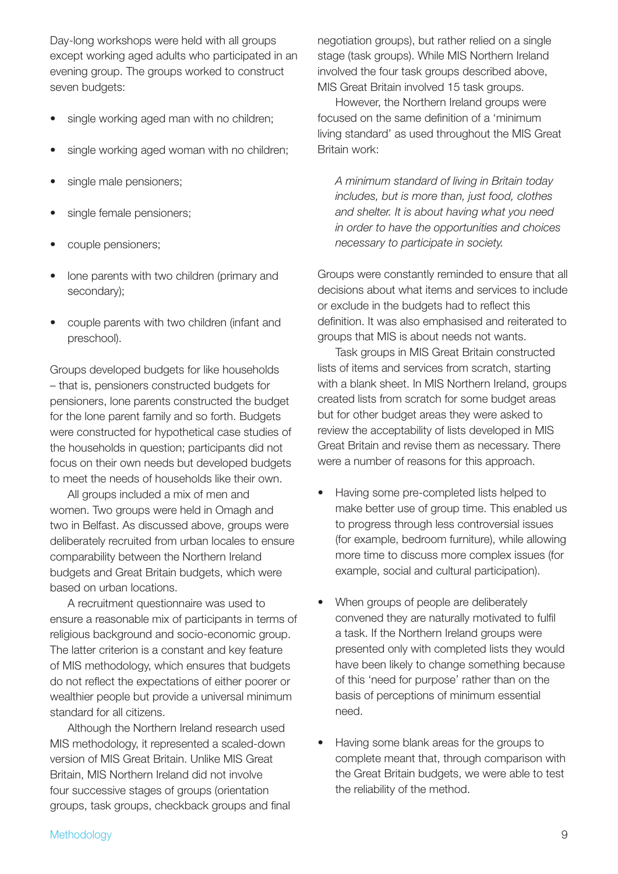Day-long workshops were held with all groups except working aged adults who participated in an evening group. The groups worked to construct seven budgets:

- single working aged man with no children;
- single working aged woman with no children;
- single male pensioners;
- single female pensioners;
- couple pensioners;
- lone parents with two children (primary and secondary);
- couple parents with two children (infant and preschool).

Groups developed budgets for like households – that is, pensioners constructed budgets for pensioners, lone parents constructed the budget for the lone parent family and so forth. Budgets were constructed for hypothetical case studies of the households in question; participants did not focus on their own needs but developed budgets to meet the needs of households like their own.

All groups included a mix of men and women. Two groups were held in Omagh and two in Belfast. As discussed above, groups were deliberately recruited from urban locales to ensure comparability between the Northern Ireland budgets and Great Britain budgets, which were based on urban locations.

A recruitment questionnaire was used to ensure a reasonable mix of participants in terms of religious background and socio-economic group. The latter criterion is a constant and key feature of MIS methodology, which ensures that budgets do not reflect the expectations of either poorer or wealthier people but provide a universal minimum standard for all citizens.

Although the Northern Ireland research used MIS methodology, it represented a scaled-down version of MIS Great Britain. Unlike MIS Great Britain, MIS Northern Ireland did not involve four successive stages of groups (orientation groups, task groups, checkback groups and final negotiation groups), but rather relied on a single stage (task groups). While MIS Northern Ireland involved the four task groups described above, MIS Great Britain involved 15 task groups.

However, the Northern Ireland groups were focused on the same definition of a 'minimum living standard' as used throughout the MIS Great Britain work:

*A minimum standard of living in Britain today includes, but is more than, just food, clothes and shelter. It is about having what you need in order to have the opportunities and choices necessary to participate in society.*

Groups were constantly reminded to ensure that all decisions about what items and services to include or exclude in the budgets had to reflect this definition. It was also emphasised and reiterated to groups that MIS is about needs not wants.

Task groups in MIS Great Britain constructed lists of items and services from scratch, starting with a blank sheet. In MIS Northern Ireland, groups created lists from scratch for some budget areas but for other budget areas they were asked to review the acceptability of lists developed in MIS Great Britain and revise them as necessary. There were a number of reasons for this approach.

- Having some pre-completed lists helped to make better use of group time. This enabled us to progress through less controversial issues (for example, bedroom furniture), while allowing more time to discuss more complex issues (for example, social and cultural participation).
- When groups of people are deliberately convened they are naturally motivated to fulfil a task. If the Northern Ireland groups were presented only with completed lists they would have been likely to change something because of this 'need for purpose' rather than on the basis of perceptions of minimum essential need.
- Having some blank areas for the groups to complete meant that, through comparison with the Great Britain budgets, we were able to test the reliability of the method.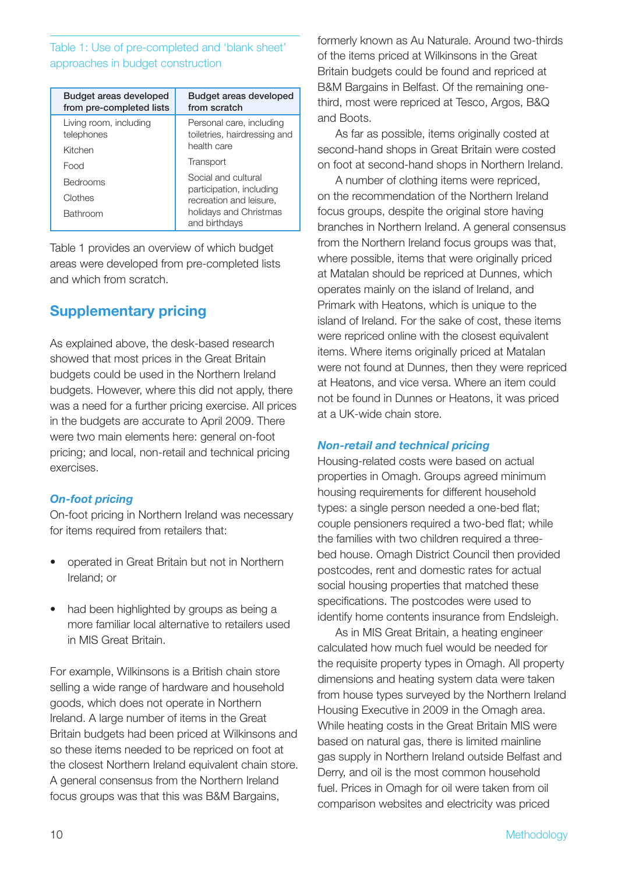### Table 1: Use of pre-completed and 'blank sheet' approaches in budget construction

| Budget areas developed<br>from pre-completed lists | Budget areas developed<br>from scratch                   |
|----------------------------------------------------|----------------------------------------------------------|
| Living room, including<br>telephones               | Personal care, including<br>toiletries, hairdressing and |
| Kitchen                                            | health care                                              |
| Food                                               | Transport                                                |
| <b>Bedrooms</b>                                    | Social and cultural                                      |
| Clothes                                            | participation, including<br>recreation and leisure,      |
| <b>Bathroom</b>                                    | holidays and Christmas<br>and birthdays                  |

Table 1 provides an overview of which budget areas were developed from pre-completed lists and which from scratch.

### **Supplementary pricing**

As explained above, the desk-based research showed that most prices in the Great Britain budgets could be used in the Northern Ireland budgets. However, where this did not apply, there was a need for a further pricing exercise. All prices in the budgets are accurate to April 2009. There were two main elements here: general on-foot pricing; and local, non-retail and technical pricing exercises.

### *On-foot pricing*

On-foot pricing in Northern Ireland was necessary for items required from retailers that:

- operated in Great Britain but not in Northern Ireland; or
- had been highlighted by groups as being a more familiar local alternative to retailers used in MIS Great Britain.

For example, Wilkinsons is a British chain store selling a wide range of hardware and household goods, which does not operate in Northern Ireland. A large number of items in the Great Britain budgets had been priced at Wilkinsons and so these items needed to be repriced on foot at the closest Northern Ireland equivalent chain store. A general consensus from the Northern Ireland focus groups was that this was B&M Bargains,

formerly known as Au Naturale. Around two-thirds of the items priced at Wilkinsons in the Great Britain budgets could be found and repriced at B&M Bargains in Belfast. Of the remaining onethird, most were repriced at Tesco, Argos, B&Q and Boots.

As far as possible, items originally costed at second-hand shops in Great Britain were costed on foot at second-hand shops in Northern Ireland.

A number of clothing items were repriced, on the recommendation of the Northern Ireland focus groups, despite the original store having branches in Northern Ireland. A general consensus from the Northern Ireland focus groups was that, where possible, items that were originally priced at Matalan should be repriced at Dunnes, which operates mainly on the island of Ireland, and Primark with Heatons, which is unique to the island of Ireland. For the sake of cost, these items were repriced online with the closest equivalent items. Where items originally priced at Matalan were not found at Dunnes, then they were repriced at Heatons, and vice versa. Where an item could not be found in Dunnes or Heatons, it was priced at a UK-wide chain store.

### *Non-retail and technical pricing*

Housing-related costs were based on actual properties in Omagh. Groups agreed minimum housing requirements for different household types: a single person needed a one-bed flat; couple pensioners required a two-bed flat; while the families with two children required a threebed house. Omagh District Council then provided postcodes, rent and domestic rates for actual social housing properties that matched these specifications. The postcodes were used to identify home contents insurance from Endsleigh.

As in MIS Great Britain, a heating engineer calculated how much fuel would be needed for the requisite property types in Omagh. All property dimensions and heating system data were taken from house types surveyed by the Northern Ireland Housing Executive in 2009 in the Omagh area. While heating costs in the Great Britain MIS were based on natural gas, there is limited mainline gas supply in Northern Ireland outside Belfast and Derry, and oil is the most common household fuel. Prices in Omagh for oil were taken from oil comparison websites and electricity was priced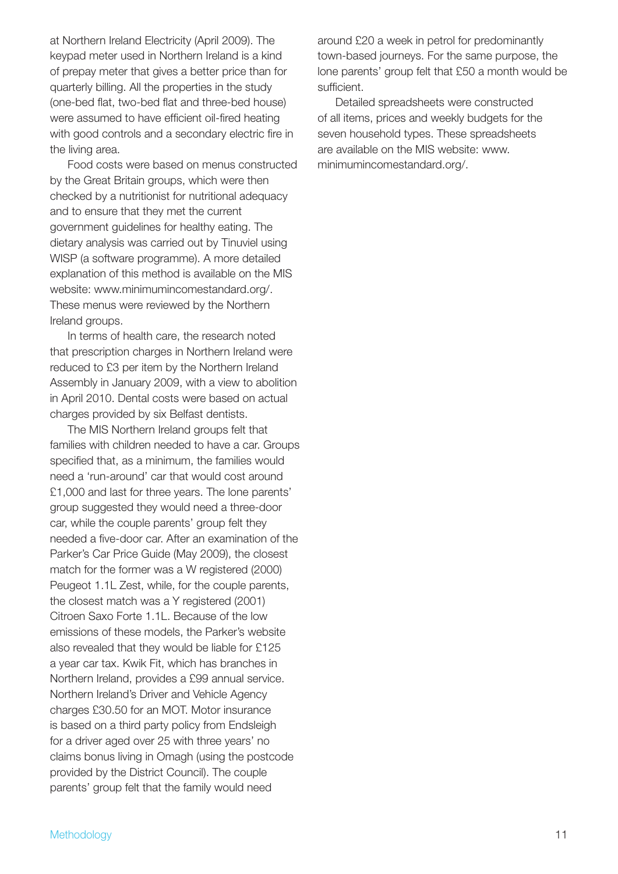at Northern Ireland Electricity (April 2009). The keypad meter used in Northern Ireland is a kind of prepay meter that gives a better price than for quarterly billing. All the properties in the study (one-bed flat, two-bed flat and three-bed house) were assumed to have efficient oil-fired heating with good controls and a secondary electric fire in the living area.

Food costs were based on menus constructed by the Great Britain groups, which were then checked by a nutritionist for nutritional adequacy and to ensure that they met the current government guidelines for healthy eating. The dietary analysis was carried out by Tinuviel using WISP (a software programme). A more detailed explanation of this method is available on the MIS website: www.minimumincomestandard.org/. These menus were reviewed by the Northern Ireland groups.

In terms of health care, the research noted that prescription charges in Northern Ireland were reduced to £3 per item by the Northern Ireland Assembly in January 2009, with a view to abolition in April 2010. Dental costs were based on actual charges provided by six Belfast dentists.

The MIS Northern Ireland groups felt that families with children needed to have a car. Groups specified that, as a minimum, the families would need a 'run-around' car that would cost around £1,000 and last for three years. The lone parents' group suggested they would need a three-door car, while the couple parents' group felt they needed a five-door car. After an examination of the Parker's Car Price Guide (May 2009), the closest match for the former was a W registered (2000) Peugeot 1.1L Zest, while, for the couple parents, the closest match was a Y registered (2001) Citroen Saxo Forte 1.1L. Because of the low emissions of these models, the Parker's website also revealed that they would be liable for £125 a year car tax. Kwik Fit, which has branches in Northern Ireland, provides a £99 annual service. Northern Ireland's Driver and Vehicle Agency charges £30.50 for an MOT. Motor insurance is based on a third party policy from Endsleigh for a driver aged over 25 with three years' no claims bonus living in Omagh (using the postcode provided by the District Council). The couple parents' group felt that the family would need

around £20 a week in petrol for predominantly town-based journeys. For the same purpose, the lone parents' group felt that £50 a month would be sufficient.

Detailed spreadsheets were constructed of all items, prices and weekly budgets for the seven household types. These spreadsheets are available on the MIS website: www. minimumincomestandard.org/.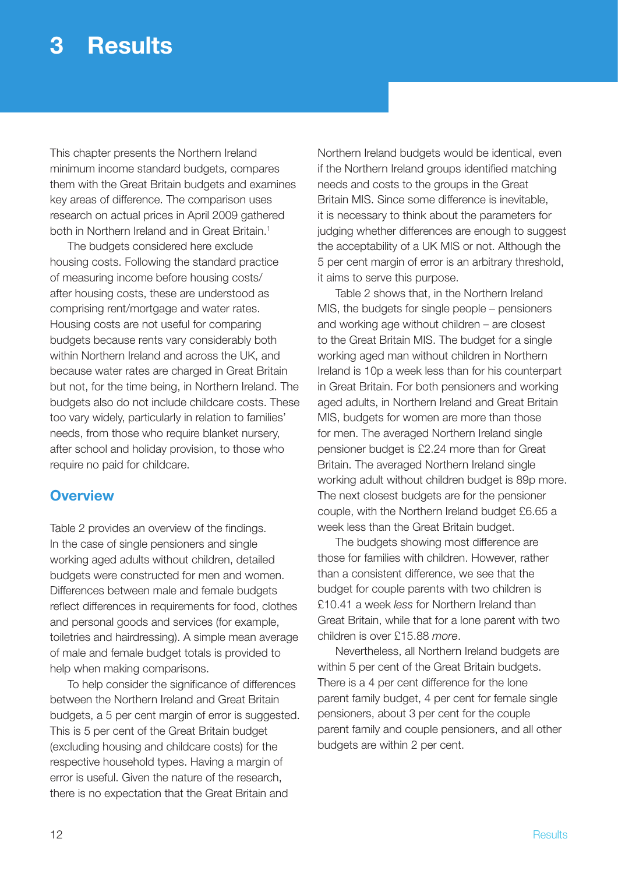### **3 Results**

This chapter presents the Northern Ireland minimum income standard budgets, compares them with the Great Britain budgets and examines key areas of difference. The comparison uses research on actual prices in April 2009 gathered both in Northern Ireland and in Great Britain.<sup>1</sup>

The budgets considered here exclude housing costs. Following the standard practice of measuring income before housing costs/ after housing costs, these are understood as comprising rent/mortgage and water rates. Housing costs are not useful for comparing budgets because rents vary considerably both within Northern Ireland and across the UK, and because water rates are charged in Great Britain but not, for the time being, in Northern Ireland. The budgets also do not include childcare costs. These too vary widely, particularly in relation to families' needs, from those who require blanket nursery, after school and holiday provision, to those who require no paid for childcare.

### **Overview**

Table 2 provides an overview of the findings. In the case of single pensioners and single working aged adults without children, detailed budgets were constructed for men and women. Differences between male and female budgets reflect differences in requirements for food, clothes and personal goods and services (for example, toiletries and hairdressing). A simple mean average of male and female budget totals is provided to help when making comparisons.

To help consider the significance of differences between the Northern Ireland and Great Britain budgets, a 5 per cent margin of error is suggested. This is 5 per cent of the Great Britain budget (excluding housing and childcare costs) for the respective household types. Having a margin of error is useful. Given the nature of the research, there is no expectation that the Great Britain and

Northern Ireland budgets would be identical, even if the Northern Ireland groups identified matching needs and costs to the groups in the Great Britain MIS. Since some difference is inevitable, it is necessary to think about the parameters for judging whether differences are enough to suggest the acceptability of a UK MIS or not. Although the 5 per cent margin of error is an arbitrary threshold, it aims to serve this purpose.

Table 2 shows that, in the Northern Ireland MIS, the budgets for single people – pensioners and working age without children – are closest to the Great Britain MIS. The budget for a single working aged man without children in Northern Ireland is 10p a week less than for his counterpart in Great Britain. For both pensioners and working aged adults, in Northern Ireland and Great Britain MIS, budgets for women are more than those for men. The averaged Northern Ireland single pensioner budget is £2.24 more than for Great Britain. The averaged Northern Ireland single working adult without children budget is 89p more. The next closest budgets are for the pensioner couple, with the Northern Ireland budget £6.65 a week less than the Great Britain budget.

The budgets showing most difference are those for families with children. However, rather than a consistent difference, we see that the budget for couple parents with two children is £10.41 a week *less* for Northern Ireland than Great Britain, while that for a lone parent with two children is over £15.88 *more*.

Nevertheless, all Northern Ireland budgets are within 5 per cent of the Great Britain budgets. There is a 4 per cent difference for the lone parent family budget, 4 per cent for female single pensioners, about 3 per cent for the couple parent family and couple pensioners, and all other budgets are within 2 per cent.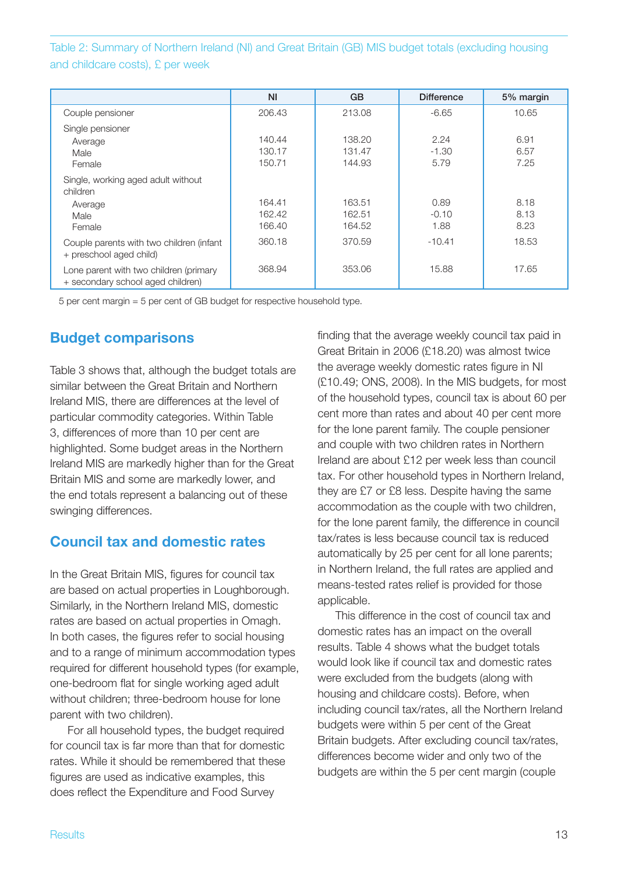Table 2: Summary of Northern Ireland (NI) and Great Britain (GB) MIS budget totals (excluding housing and childcare costs), £ per week

|                                                                             | N <sub>l</sub>             | <b>GB</b>                  | <b>Difference</b>       | 5% margin            |
|-----------------------------------------------------------------------------|----------------------------|----------------------------|-------------------------|----------------------|
| Couple pensioner                                                            | 206.43                     | 213.08                     | $-6.65$                 | 10.65                |
| Single pensioner<br>Average<br>Male<br>Female                               | 140.44<br>130.17<br>150.71 | 138.20<br>131.47<br>144.93 | 2.24<br>$-1.30$<br>5.79 | 6.91<br>6.57<br>7.25 |
| Single, working aged adult without<br>children<br>Average<br>Male<br>Female | 164.41<br>162.42<br>166.40 | 163.51<br>162.51<br>164.52 | 0.89<br>$-0.10$<br>1.88 | 8.18<br>8.13<br>8.23 |
| Couple parents with two children (infant<br>+ preschool aged child)         | 360.18                     | 370.59                     | $-10.41$                | 18.53                |
| Lone parent with two children (primary<br>+ secondary school aged children) | 368.94                     | 353.06                     | 15.88                   | 17.65                |

5 per cent margin = 5 per cent of GB budget for respective household type.

### **Budget comparisons**

Table 3 shows that, although the budget totals are similar between the Great Britain and Northern Ireland MIS, there are differences at the level of particular commodity categories. Within Table 3, differences of more than 10 per cent are highlighted. Some budget areas in the Northern Ireland MIS are markedly higher than for the Great Britain MIS and some are markedly lower, and the end totals represent a balancing out of these swinging differences.

### **Council tax and domestic rates**

In the Great Britain MIS, figures for council tax are based on actual properties in Loughborough. Similarly, in the Northern Ireland MIS, domestic rates are based on actual properties in Omagh. In both cases, the figures refer to social housing and to a range of minimum accommodation types required for different household types (for example, one-bedroom flat for single working aged adult without children; three-bedroom house for lone parent with two children).

For all household types, the budget required for council tax is far more than that for domestic rates. While it should be remembered that these figures are used as indicative examples, this does reflect the Expenditure and Food Survey

finding that the average weekly council tax paid in Great Britain in 2006 (£18.20) was almost twice the average weekly domestic rates figure in NI (£10.49; ONS, 2008). In the MIS budgets, for most of the household types, council tax is about 60 per cent more than rates and about 40 per cent more for the lone parent family. The couple pensioner and couple with two children rates in Northern Ireland are about £12 per week less than council tax. For other household types in Northern Ireland, they are £7 or £8 less. Despite having the same accommodation as the couple with two children, for the lone parent family, the difference in council tax/rates is less because council tax is reduced automatically by 25 per cent for all lone parents; in Northern Ireland, the full rates are applied and means-tested rates relief is provided for those applicable.

This difference in the cost of council tax and domestic rates has an impact on the overall results. Table 4 shows what the budget totals would look like if council tax and domestic rates were excluded from the budgets (along with housing and childcare costs). Before, when including council tax/rates, all the Northern Ireland budgets were within 5 per cent of the Great Britain budgets. After excluding council tax/rates, differences become wider and only two of the budgets are within the 5 per cent margin (couple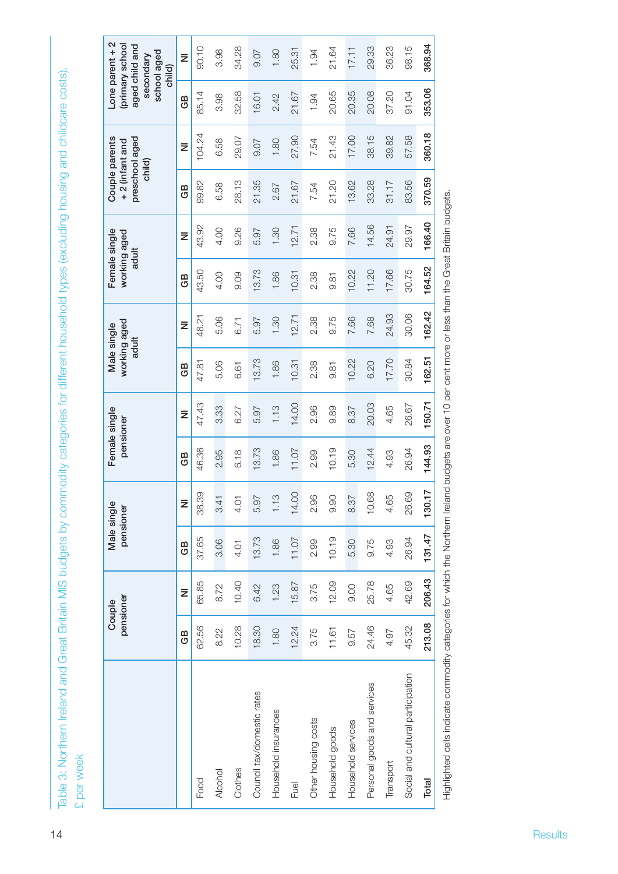|                                            | pensioner<br>Couple | Male single<br>pensioner |                        | pensioner | Female single | working aged<br>Male single<br>adult |           | Female single<br>working aged<br>adult |        | preschool aged<br>+2 (infant and<br>child) | Couple parents |        | Lone parent + 2<br>(primary school<br>aged child and<br>school aged<br>secondary<br>child) |
|--------------------------------------------|---------------------|--------------------------|------------------------|-----------|---------------|--------------------------------------|-----------|----------------------------------------|--------|--------------------------------------------|----------------|--------|--------------------------------------------------------------------------------------------|
| GB                                         | Ξ                   | GB                       | z                      | GB        | ž             | GB                                   | $\bar{z}$ | GB                                     | Ξ      | GB                                         | ž              | GB     | $\bar{z}$                                                                                  |
| 62.56<br>Food                              | 65.85               | 37.65                    | 38.39                  | 46.36     | 47.43         | 47.81                                | 48.21     | 43.50                                  | 43.92  | 99.82                                      | 104.24         | 85.14  | 90.10                                                                                      |
| 8.22<br>Alcohol                            | 8.72                | 3.06                     | 3.41                   | 2.95      | 3.33          | 5.06                                 | 5.06      | 4.00                                   | 4.00   | 6.58                                       | 6.58           | 3.98   | 3.98                                                                                       |
| 10.28<br>Clothes                           | 10.40               | 4.01                     | 4.01                   | 6.18      | 6.27          | 6.61                                 | 6.71      | 9.09                                   | 9.26   | 28.13                                      | 29.07          | 32.58  | 34.28                                                                                      |
| 18.30<br>Council tax/domestic rates        | 6.42                | 13.73                    | 5.97                   | 13.73     | 5.97          | 13.73                                | 5.97      | 13.73                                  | 5.97   | 21.35                                      | 9.07           | 16.01  | 0.07                                                                                       |
| 1.80<br>Household insurances               | 1.23                | 1.86                     | 1.13                   | 1.86      | 1.13          | 1.86                                 | 1.30      | 1.86                                   | 1.30   | 2.67                                       | 1.80           | 2.42   | 1.80                                                                                       |
| 12.24<br>Fuel                              | 15.87               | 11.07                    | 14.00                  | 11.07     | 14.00         | 10.31                                | 12.71     | 10.31                                  | 2.71   | 21.67                                      | 27.90          | 21.67  | 25.31                                                                                      |
| 3.75<br>Other housing costs                | 3.75                | 2.99                     | 2.96                   | 2.99      | 2.96          | 2.38                                 | 2.38      | 2.38                                   | 2.38   | 7.54                                       | 7.54           | 1.94   | 1.94                                                                                       |
| 11.61<br>Household goods                   | 12.09               | 10.19                    | 9.90                   | 10.19     | 9.89          | $-81$                                | 9.75      | 9.81                                   | 9.75   | 21.20                                      | 21.43          | 20.65  | 21.64                                                                                      |
| 9.57<br>Household services                 | 9.00                | 5.30                     | 8.37                   | 5.30      | 8.37          | 10.22                                | 7.66      | 10.22                                  | 7.66   | 13.62                                      | 17.00          | 20.35  | 17.11                                                                                      |
| 24.46<br>Personal goods and services       | 25.78               | 9.75                     | 10.68                  | 12.44     | 20.03         | 6.20                                 | 7.68      | 11.20                                  | 14.56  | 33.28                                      | 38.15          | 20.08  | 29.33                                                                                      |
| 4.97<br>Transport                          | 4.65                | 4.93                     | 4.65                   | 4.93      | 4.65          | 17.70                                | 24.93     | 17.66                                  | 24.91  | 31.17                                      | 39.82          | 37.20  | 36.23                                                                                      |
| 45.32<br>Social and cultural participation | 42.69               | 26.94                    | 26.69                  | 26.94     | 26.67         | 30.84                                | 30.06     | 30.75                                  | 29.97  | 83.56                                      | 57.58          | 91.04  | 98.15                                                                                      |
| 213.08<br>Total                            | 206.43              | 131.47                   | $\overline{1}$<br>130. | 144.93    | 150.71        | 162.51                               | 162.42    | 164.52                                 | 166.40 | 370.59                                     | 360.18         | 353.06 | 368.94                                                                                     |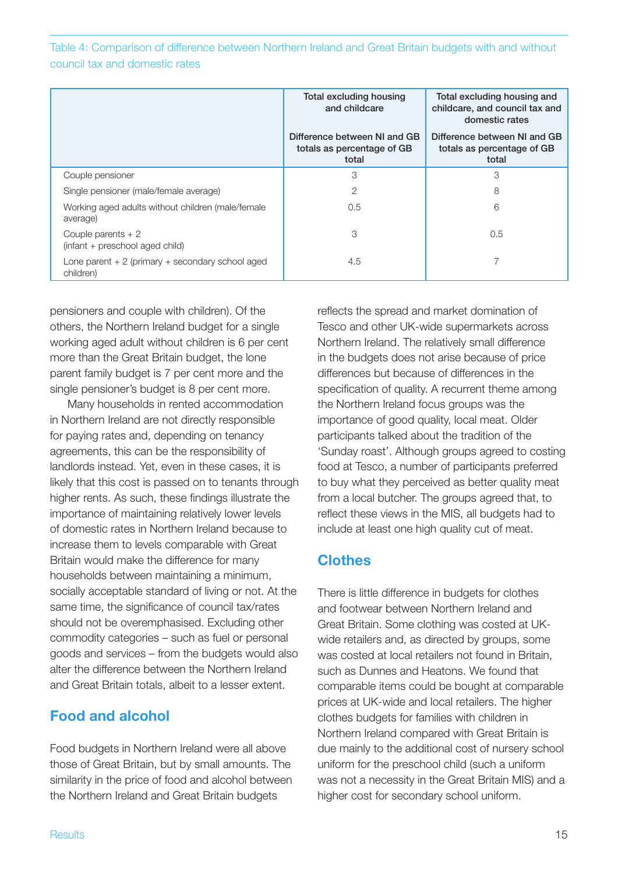Table 4: Comparison of difference between Northern Ireland and Great Britain budgets with and without council tax and domestic rates

|                                                                  | Total excluding housing<br>and childcare                            | Total excluding housing and<br>childcare, and council tax and<br>domestic rates |
|------------------------------------------------------------------|---------------------------------------------------------------------|---------------------------------------------------------------------------------|
|                                                                  | Difference between NI and GB<br>totals as percentage of GB<br>total | Difference between NI and GB<br>totals as percentage of GB<br>total             |
| Couple pensioner                                                 | 3                                                                   | 3                                                                               |
| Single pensioner (male/female average)                           | 2                                                                   | 8                                                                               |
| Working aged adults without children (male/female<br>average)    | 0.5                                                                 | 6                                                                               |
| Couple parents $+2$<br>(infant + preschool aged child)           | 3                                                                   | 0.5                                                                             |
| Lone parent $+2$ (primary $+$ secondary school aged<br>children) | 4.5                                                                 |                                                                                 |

pensioners and couple with children). Of the others, the Northern Ireland budget for a single working aged adult without children is 6 per cent more than the Great Britain budget, the lone parent family budget is 7 per cent more and the single pensioner's budget is 8 per cent more.

Many households in rented accommodation in Northern Ireland are not directly responsible for paying rates and, depending on tenancy agreements, this can be the responsibility of landlords instead. Yet, even in these cases, it is likely that this cost is passed on to tenants through higher rents. As such, these findings illustrate the importance of maintaining relatively lower levels of domestic rates in Northern Ireland because to increase them to levels comparable with Great Britain would make the difference for many households between maintaining a minimum, socially acceptable standard of living or not. At the same time, the significance of council tax/rates should not be overemphasised. Excluding other commodity categories – such as fuel or personal goods and services – from the budgets would also alter the difference between the Northern Ireland and Great Britain totals, albeit to a lesser extent.

### **Food and alcohol**

Food budgets in Northern Ireland were all above those of Great Britain, but by small amounts. The similarity in the price of food and alcohol between the Northern Ireland and Great Britain budgets

reflects the spread and market domination of Tesco and other UK-wide supermarkets across Northern Ireland. The relatively small difference in the budgets does not arise because of price differences but because of differences in the specification of quality. A recurrent theme among the Northern Ireland focus groups was the importance of good quality, local meat. Older participants talked about the tradition of the 'Sunday roast'. Although groups agreed to costing food at Tesco, a number of participants preferred to buy what they perceived as better quality meat from a local butcher. The groups agreed that, to reflect these views in the MIS, all budgets had to include at least one high quality cut of meat.

### **Clothes**

There is little difference in budgets for clothes and footwear between Northern Ireland and Great Britain. Some clothing was costed at UKwide retailers and, as directed by groups, some was costed at local retailers not found in Britain, such as Dunnes and Heatons. We found that comparable items could be bought at comparable prices at UK-wide and local retailers. The higher clothes budgets for families with children in Northern Ireland compared with Great Britain is due mainly to the additional cost of nursery school uniform for the preschool child (such a uniform was not a necessity in the Great Britain MIS) and a higher cost for secondary school uniform.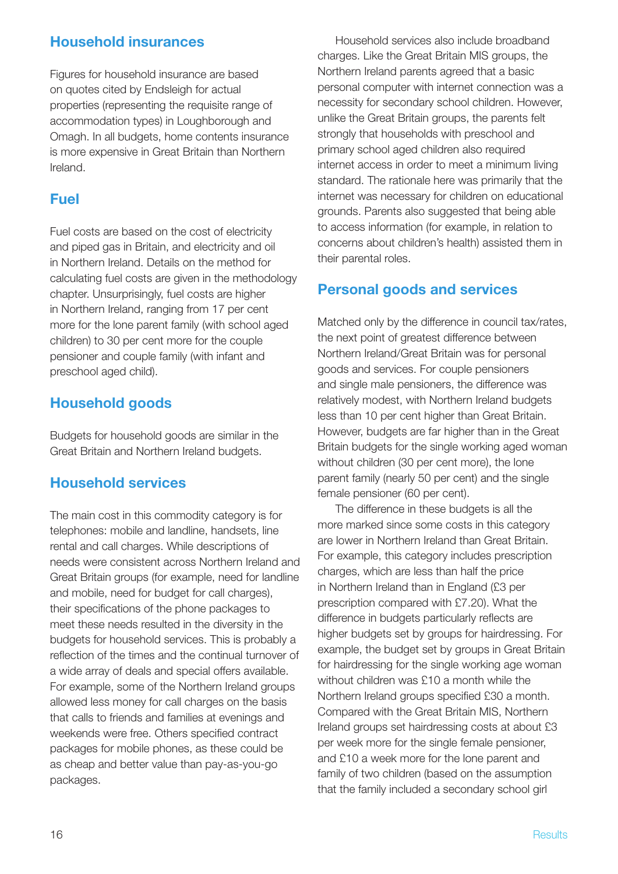### **Household insurances**

Figures for household insurance are based on quotes cited by Endsleigh for actual properties (representing the requisite range of accommodation types) in Loughborough and Omagh. In all budgets, home contents insurance is more expensive in Great Britain than Northern Ireland.

### **Fuel**

Fuel costs are based on the cost of electricity and piped gas in Britain, and electricity and oil in Northern Ireland. Details on the method for calculating fuel costs are given in the methodology chapter. Unsurprisingly, fuel costs are higher in Northern Ireland, ranging from 17 per cent more for the lone parent family (with school aged children) to 30 per cent more for the couple pensioner and couple family (with infant and preschool aged child).

### **Household goods**

Budgets for household goods are similar in the Great Britain and Northern Ireland budgets.

### **Household services**

The main cost in this commodity category is for telephones: mobile and landline, handsets, line rental and call charges. While descriptions of needs were consistent across Northern Ireland and Great Britain groups (for example, need for landline and mobile, need for budget for call charges), their specifications of the phone packages to meet these needs resulted in the diversity in the budgets for household services. This is probably a reflection of the times and the continual turnover of a wide array of deals and special offers available. For example, some of the Northern Ireland groups allowed less money for call charges on the basis that calls to friends and families at evenings and weekends were free. Others specified contract packages for mobile phones, as these could be as cheap and better value than pay-as-you-go packages.

Household services also include broadband charges. Like the Great Britain MIS groups, the Northern Ireland parents agreed that a basic personal computer with internet connection was a necessity for secondary school children. However, unlike the Great Britain groups, the parents felt strongly that households with preschool and primary school aged children also required internet access in order to meet a minimum living standard. The rationale here was primarily that the internet was necessary for children on educational grounds. Parents also suggested that being able to access information (for example, in relation to concerns about children's health) assisted them in their parental roles.

### **Personal goods and services**

Matched only by the difference in council tax/rates, the next point of greatest difference between Northern Ireland/Great Britain was for personal goods and services. For couple pensioners and single male pensioners, the difference was relatively modest, with Northern Ireland budgets less than 10 per cent higher than Great Britain. However, budgets are far higher than in the Great Britain budgets for the single working aged woman without children (30 per cent more), the lone parent family (nearly 50 per cent) and the single female pensioner (60 per cent).

The difference in these budgets is all the more marked since some costs in this category are lower in Northern Ireland than Great Britain. For example, this category includes prescription charges, which are less than half the price in Northern Ireland than in England (£3 per prescription compared with £7.20). What the difference in budgets particularly reflects are higher budgets set by groups for hairdressing. For example, the budget set by groups in Great Britain for hairdressing for the single working age woman without children was £10 a month while the Northern Ireland groups specified £30 a month. Compared with the Great Britain MIS, Northern Ireland groups set hairdressing costs at about £3 per week more for the single female pensioner, and £10 a week more for the lone parent and family of two children (based on the assumption that the family included a secondary school girl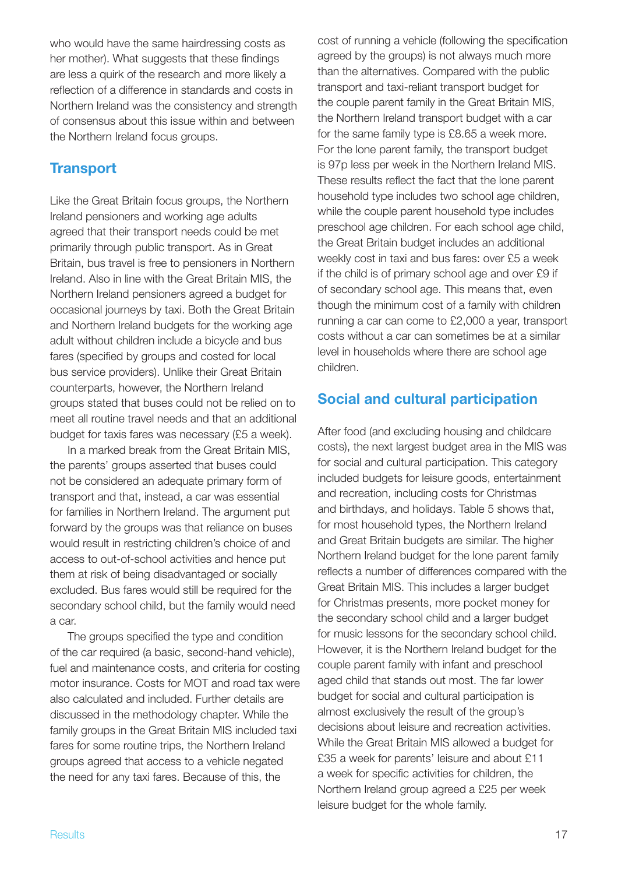who would have the same hairdressing costs as her mother). What suggests that these findings are less a quirk of the research and more likely a reflection of a difference in standards and costs in Northern Ireland was the consistency and strength of consensus about this issue within and between the Northern Ireland focus groups.

### **Transport**

Like the Great Britain focus groups, the Northern Ireland pensioners and working age adults agreed that their transport needs could be met primarily through public transport. As in Great Britain, bus travel is free to pensioners in Northern Ireland. Also in line with the Great Britain MIS, the Northern Ireland pensioners agreed a budget for occasional journeys by taxi. Both the Great Britain and Northern Ireland budgets for the working age adult without children include a bicycle and bus fares (specified by groups and costed for local bus service providers). Unlike their Great Britain counterparts, however, the Northern Ireland groups stated that buses could not be relied on to meet all routine travel needs and that an additional budget for taxis fares was necessary (£5 a week).

In a marked break from the Great Britain MIS, the parents' groups asserted that buses could not be considered an adequate primary form of transport and that, instead, a car was essential for families in Northern Ireland. The argument put forward by the groups was that reliance on buses would result in restricting children's choice of and access to out-of-school activities and hence put them at risk of being disadvantaged or socially excluded. Bus fares would still be required for the secondary school child, but the family would need a car.

The groups specified the type and condition of the car required (a basic, second-hand vehicle), fuel and maintenance costs, and criteria for costing motor insurance. Costs for MOT and road tax were also calculated and included. Further details are discussed in the methodology chapter. While the family groups in the Great Britain MIS included taxi fares for some routine trips, the Northern Ireland groups agreed that access to a vehicle negated the need for any taxi fares. Because of this, the

cost of running a vehicle (following the specification agreed by the groups) is not always much more than the alternatives. Compared with the public transport and taxi-reliant transport budget for the couple parent family in the Great Britain MIS, the Northern Ireland transport budget with a car for the same family type is £8.65 a week more. For the lone parent family, the transport budget is 97p less per week in the Northern Ireland MIS. These results reflect the fact that the lone parent household type includes two school age children, while the couple parent household type includes preschool age children. For each school age child, the Great Britain budget includes an additional weekly cost in taxi and bus fares: over £5 a week if the child is of primary school age and over £9 if of secondary school age. This means that, even though the minimum cost of a family with children running a car can come to £2,000 a year, transport costs without a car can sometimes be at a similar level in households where there are school age children.

### **Social and cultural participation**

After food (and excluding housing and childcare costs), the next largest budget area in the MIS was for social and cultural participation. This category included budgets for leisure goods, entertainment and recreation, including costs for Christmas and birthdays, and holidays. Table 5 shows that, for most household types, the Northern Ireland and Great Britain budgets are similar. The higher Northern Ireland budget for the lone parent family reflects a number of differences compared with the Great Britain MIS. This includes a larger budget for Christmas presents, more pocket money for the secondary school child and a larger budget for music lessons for the secondary school child. However, it is the Northern Ireland budget for the couple parent family with infant and preschool aged child that stands out most. The far lower budget for social and cultural participation is almost exclusively the result of the group's decisions about leisure and recreation activities. While the Great Britain MIS allowed a budget for £35 a week for parents' leisure and about £11 a week for specific activities for children, the Northern Ireland group agreed a £25 per week leisure budget for the whole family.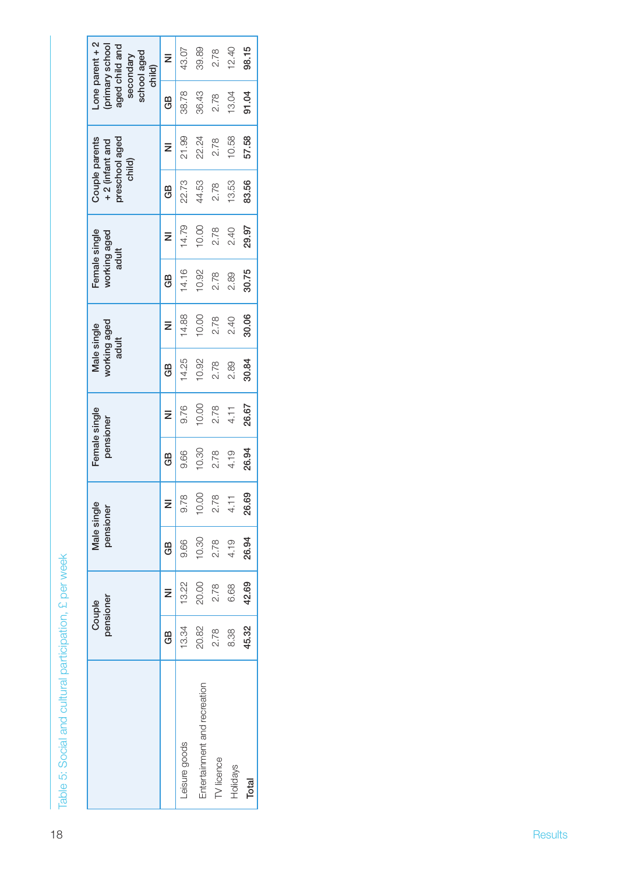| 10.00<br>30.06<br>14.88<br>2.78<br>2.40<br>working aged<br>$\bar{z}$<br>Male single<br>adult<br>30.84<br>14.25<br>10.92<br>2.78<br>2.89<br>GB<br>10.00<br>26.67<br>2.78<br>9.76<br>4.11<br>Female single<br>$\bar{z}$<br>pensioner<br>10.30<br>26.94<br>2.78<br>4.19<br>9.66<br>GB<br>26.69<br>10.00<br>$2.78$<br>4.11<br>9.78<br>$\bar{z}$<br>Male single<br>pensioner<br>10.30<br>26.94<br>2.78<br>9.66<br>4.19<br>GB<br>20.00<br>42.69<br>13.22<br>2.78<br>6.68<br>$\bar{z}$<br>pensioner<br>Couple | 30.75<br>14.16<br>10.92<br>2.78<br>2.89<br>GB | 10.00<br>14.79<br>29.97<br>2.78<br>2.40<br>Female single<br>working aged<br>$\bar{z}$<br>adult | 83.56<br>13.53<br>22.73<br>44.53<br>2.78<br>GB | 21.99<br>10.58<br>57.58<br>22.24<br>Couple parents<br>preschool aged<br>2.78<br>+2 (infant and<br>$\bar{z}$<br>child) |                                                                                             |           | Leisure goods | Entertainment and recreation | TV licence | <b>Holidays</b> | Total |
|--------------------------------------------------------------------------------------------------------------------------------------------------------------------------------------------------------------------------------------------------------------------------------------------------------------------------------------------------------------------------------------------------------------------------------------------------------------------------------------------------------|-----------------------------------------------|------------------------------------------------------------------------------------------------|------------------------------------------------|-----------------------------------------------------------------------------------------------------------------------|---------------------------------------------------------------------------------------------|-----------|---------------|------------------------------|------------|-----------------|-------|
|                                                                                                                                                                                                                                                                                                                                                                                                                                                                                                        |                                               |                                                                                                |                                                |                                                                                                                       |                                                                                             | GB        | 13.34         | 20.82                        | 2.78       | 8.38            | 45.32 |
|                                                                                                                                                                                                                                                                                                                                                                                                                                                                                                        |                                               |                                                                                                |                                                |                                                                                                                       |                                                                                             |           |               |                              |            |                 |       |
|                                                                                                                                                                                                                                                                                                                                                                                                                                                                                                        |                                               |                                                                                                |                                                |                                                                                                                       |                                                                                             |           |               |                              |            |                 |       |
|                                                                                                                                                                                                                                                                                                                                                                                                                                                                                                        |                                               |                                                                                                |                                                |                                                                                                                       |                                                                                             |           |               |                              |            |                 |       |
|                                                                                                                                                                                                                                                                                                                                                                                                                                                                                                        |                                               |                                                                                                |                                                |                                                                                                                       |                                                                                             |           |               |                              |            |                 |       |
|                                                                                                                                                                                                                                                                                                                                                                                                                                                                                                        |                                               |                                                                                                |                                                |                                                                                                                       |                                                                                             |           |               |                              |            |                 |       |
|                                                                                                                                                                                                                                                                                                                                                                                                                                                                                                        |                                               |                                                                                                |                                                |                                                                                                                       |                                                                                             |           |               |                              |            |                 |       |
|                                                                                                                                                                                                                                                                                                                                                                                                                                                                                                        |                                               |                                                                                                |                                                |                                                                                                                       |                                                                                             |           |               |                              |            |                 |       |
| 38.78<br>36.43<br>91.04<br>13.04<br>2.78<br>GB                                                                                                                                                                                                                                                                                                                                                                                                                                                         |                                               |                                                                                                |                                                |                                                                                                                       | Lone parent $+2$<br>(primary school<br>aged child and<br>school aged<br>secondary<br>child) | $\bar{z}$ | 43.07         | 39.89                        | 2.78       | 12.40           | 98.15 |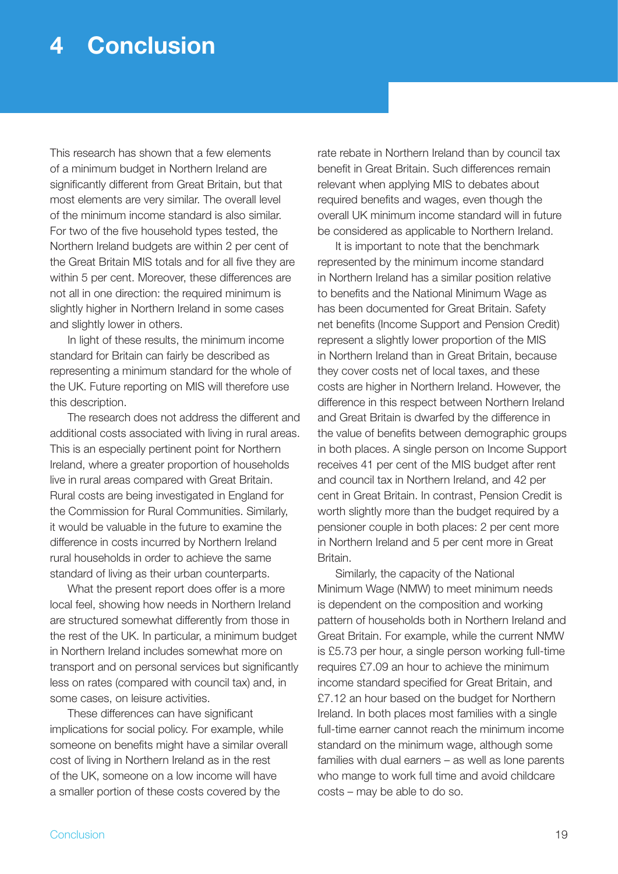### **4 Conclusion**

This research has shown that a few elements of a minimum budget in Northern Ireland are significantly different from Great Britain, but that most elements are very similar. The overall level of the minimum income standard is also similar. For two of the five household types tested, the Northern Ireland budgets are within 2 per cent of the Great Britain MIS totals and for all five they are within 5 per cent. Moreover, these differences are not all in one direction: the required minimum is slightly higher in Northern Ireland in some cases and slightly lower in others.

In light of these results, the minimum income standard for Britain can fairly be described as representing a minimum standard for the whole of the UK. Future reporting on MIS will therefore use this description.

The research does not address the different and additional costs associated with living in rural areas. This is an especially pertinent point for Northern Ireland, where a greater proportion of households live in rural areas compared with Great Britain. Rural costs are being investigated in England for the Commission for Rural Communities. Similarly, it would be valuable in the future to examine the difference in costs incurred by Northern Ireland rural households in order to achieve the same standard of living as their urban counterparts.

What the present report does offer is a more local feel, showing how needs in Northern Ireland are structured somewhat differently from those in the rest of the UK. In particular, a minimum budget in Northern Ireland includes somewhat more on transport and on personal services but significantly less on rates (compared with council tax) and, in some cases, on leisure activities.

These differences can have significant implications for social policy. For example, while someone on benefits might have a similar overall cost of living in Northern Ireland as in the rest of the UK, someone on a low income will have a smaller portion of these costs covered by the

rate rebate in Northern Ireland than by council tax benefit in Great Britain. Such differences remain relevant when applying MIS to debates about required benefits and wages, even though the overall UK minimum income standard will in future be considered as applicable to Northern Ireland.

It is important to note that the benchmark represented by the minimum income standard in Northern Ireland has a similar position relative to benefits and the National Minimum Wage as has been documented for Great Britain. Safety net benefits (Income Support and Pension Credit) represent a slightly lower proportion of the MIS in Northern Ireland than in Great Britain, because they cover costs net of local taxes, and these costs are higher in Northern Ireland. However, the difference in this respect between Northern Ireland and Great Britain is dwarfed by the difference in the value of benefits between demographic groups in both places. A single person on Income Support receives 41 per cent of the MIS budget after rent and council tax in Northern Ireland, and 42 per cent in Great Britain. In contrast, Pension Credit is worth slightly more than the budget required by a pensioner couple in both places: 2 per cent more in Northern Ireland and 5 per cent more in Great Britain.

Similarly, the capacity of the National Minimum Wage (NMW) to meet minimum needs is dependent on the composition and working pattern of households both in Northern Ireland and Great Britain. For example, while the current NMW is £5.73 per hour, a single person working full-time requires £7.09 an hour to achieve the minimum income standard specified for Great Britain, and £7.12 an hour based on the budget for Northern Ireland. In both places most families with a single full-time earner cannot reach the minimum income standard on the minimum wage, although some families with dual earners – as well as lone parents who mange to work full time and avoid childcare costs – may be able to do so.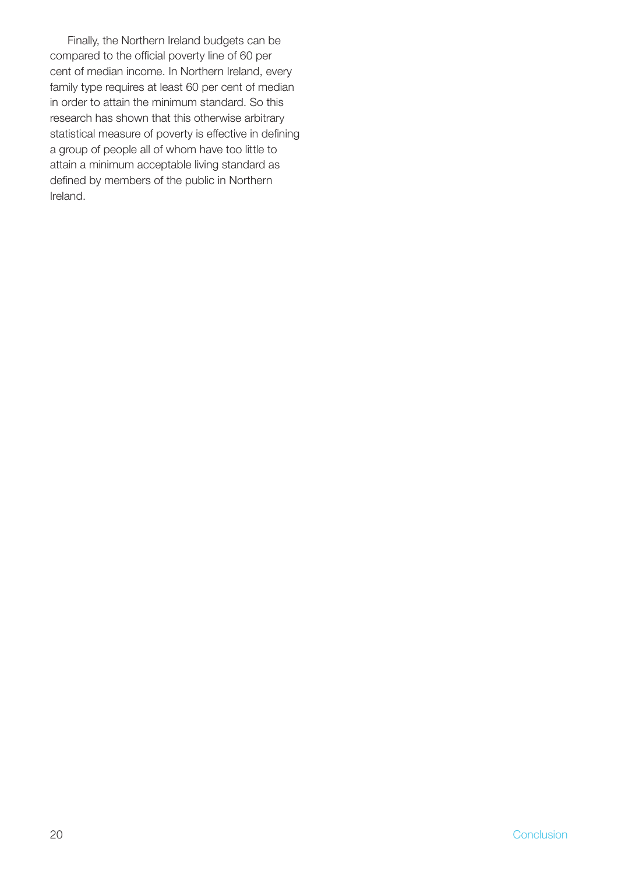Finally, the Northern Ireland budgets can be compared to the official poverty line of 60 per cent of median income. In Northern Ireland, every family type requires at least 60 per cent of median in order to attain the minimum standard. So this research has shown that this otherwise arbitrary statistical measure of poverty is effective in defining a group of people all of whom have too little to attain a minimum acceptable living standard as defined by members of the public in Northern Ireland.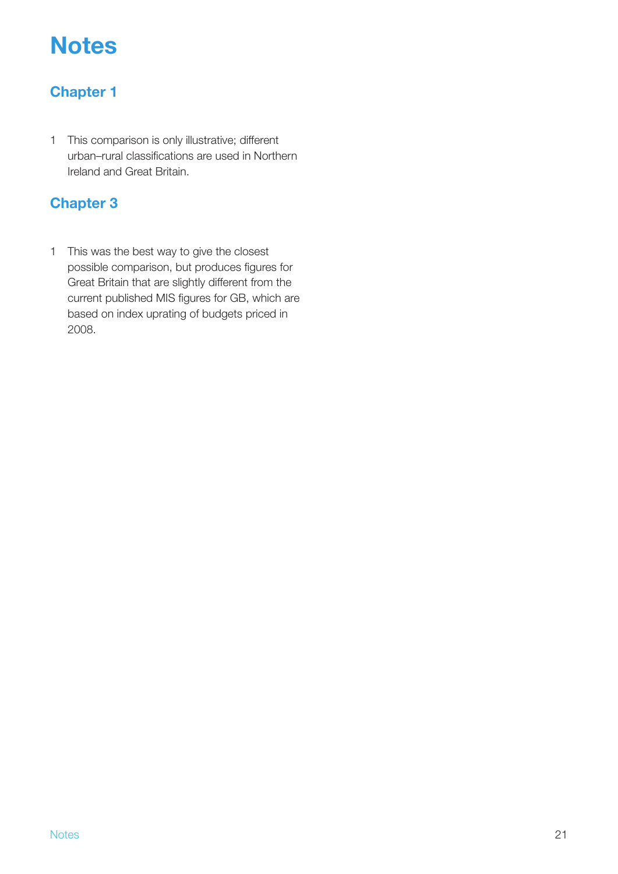## **Notes**

### **Chapter 1**

1 This comparison is only illustrative; different urban–rural classifications are used in Northern Ireland and Great Britain.

### **Chapter 3**

1 This was the best way to give the closest possible comparison, but produces figures for Great Britain that are slightly different from the current published MIS figures for GB, which are based on index uprating of budgets priced in 2008.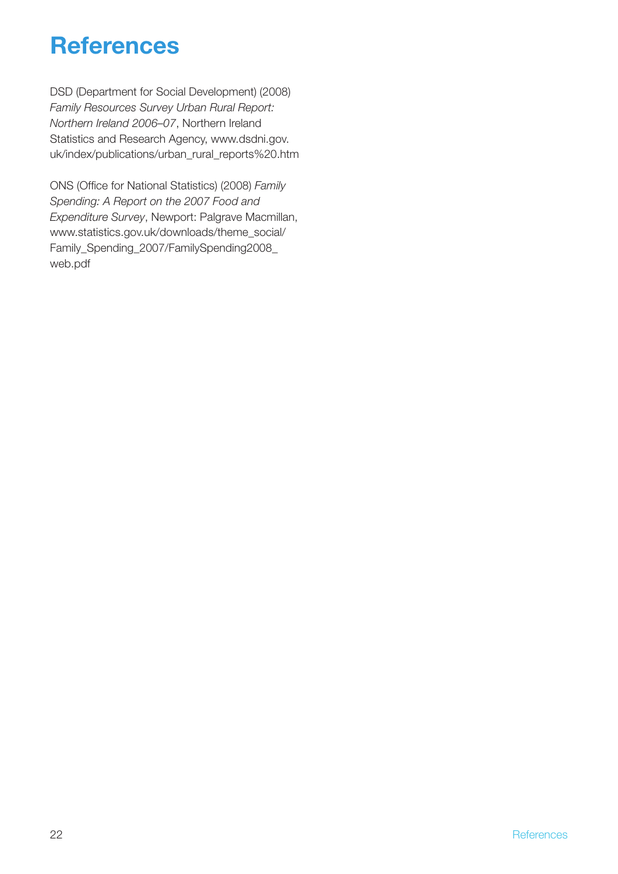### **References**

DSD (Department for Social Development) (2008) *Family Resources Survey Urban Rural Report: Northern Ireland 2006–07*, Northern Ireland Statistics and Research Agency, www.dsdni.gov. uk/index/publications/urban\_rural\_reports%20.htm

ONS (Office for National Statistics) (2008) *Family Spending: A Report on the 2007 Food and Expenditure Survey*, Newport: Palgrave Macmillan, www.statistics.gov.uk/downloads/theme\_social/ Family\_Spending\_2007/FamilySpending2008\_ web.pdf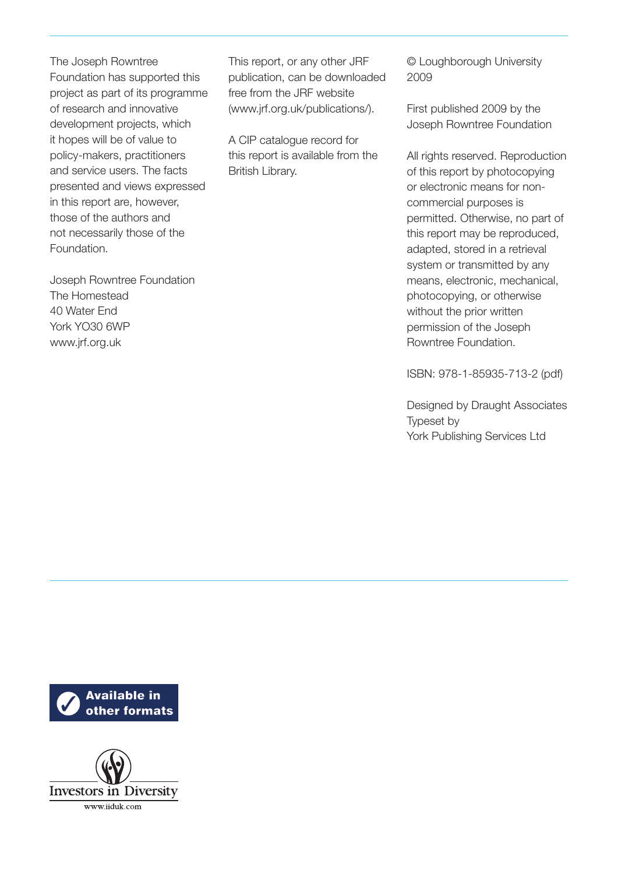The Joseph Rowntree Foundation has supported this project as part of its programme of research and innovative development projects, which it hopes will be of value to policy-makers, practitioners and service users. The facts presented and views expressed in this report are, however, those of the authors and not necessarily those of the Foundation.

Joseph Rowntree Foundation The Homestead 40 Water End York YO30 6WP www.jrf.org.uk

This report, or any other JRF publication, can be downloaded free from the JRF website (www.jrf.org.uk/publications/).

A CIP catalogue record for this report is available from the British Library.

© Loughborough University 2009

First published 2009 by the Joseph Rowntree Foundation

All rights reserved. Reproduction of this report by photocopying or electronic means for noncommercial purposes is permitted. Otherwise, no part of this report may be reproduced, adapted, stored in a retrieval system or transmitted by any means, electronic, mechanical, photocopying, or otherwise without the prior written permission of the Joseph Rowntree Foundation.

ISBN: 978-1-85935-713-2 (pdf)

Designed by Draught Associates Typeset by York Publishing Services Ltd